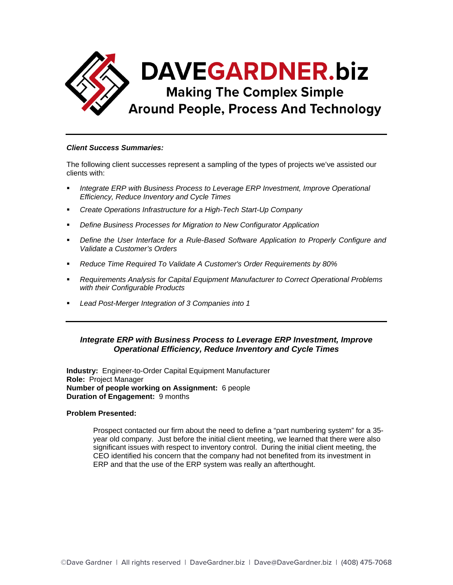

## *Client Success Summaries:*

The following client successes represent a sampling of the types of projects we've assisted our clients with:

- *Integrate ERP with Business Process to Leverage ERP Investment, Improve Operational Efficiency, Reduce Inventory and Cycle Times*
- *Create Operations Infrastructure for a High-Tech Start-Up Company*
- *Define Business Processes for Migration to New Configurator Application*
- *Define the User Interface for a Rule-Based Software Application to Properly Configure and Validate a Customer's Orders*
- *Reduce Time Required To Validate A Customer's Order Requirements by 80%*
- *Requirements Analysis for Capital Equipment Manufacturer to Correct Operational Problems with their Configurable Products*
- *Lead Post-Merger Integration of 3 Companies into 1*

# *Integrate ERP with Business Process to Leverage ERP Investment, Improve Operational Efficiency, Reduce Inventory and Cycle Times*

**Industry:** Engineer-to-Order Capital Equipment Manufacturer **Role:** Project Manager **Number of people working on Assignment:** 6 people **Duration of Engagement:** 9 months

## **Problem Presented:**

Prospect contacted our firm about the need to define a "part numbering system" for a 35 year old company. Just before the initial client meeting, we learned that there were also significant issues with respect to inventory control. During the initial client meeting, the CEO identified his concern that the company had not benefited from its investment in ERP and that the use of the ERP system was really an afterthought.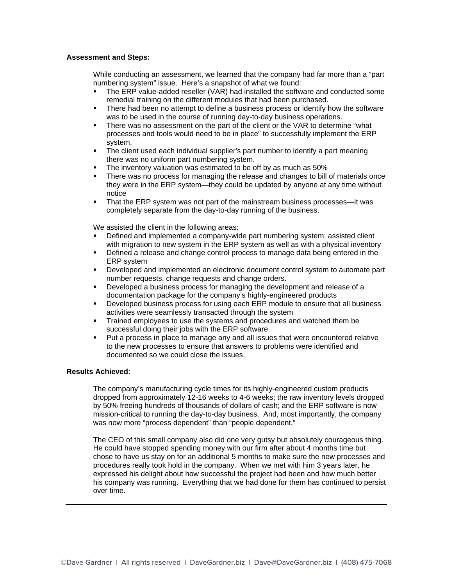## **Assessment and Steps:**

While conducting an assessment, we learned that the company had far more than a "part numbering system" issue. Here's a snapshot of what we found:

- The ERP value-added reseller (VAR) had installed the software and conducted some remedial training on the different modules that had been purchased.
- There had been no attempt to define a business process or identify how the software was to be used in the course of running day-to-day business operations.
- There was no assessment on the part of the client or the VAR to determine "what processes and tools would need to be in place" to successfully implement the ERP system.
- The client used each individual supplier's part number to identify a part meaning there was no uniform part numbering system.
- The inventory valuation was estimated to be off by as much as 50%
- There was no process for managing the release and changes to bill of materials once they were in the ERP system—they could be updated by anyone at any time without notice
- That the ERP system was not part of the mainstream business processes—it was completely separate from the day-to-day running of the business.

We assisted the client in the following areas:

- Defined and implemented a company-wide part numbering system; assisted client with migration to new system in the ERP system as well as with a physical inventory
- Defined a release and change control process to manage data being entered in the ERP system
- Developed and implemented an electronic document control system to automate part number requests, change requests and change orders.
- Developed a business process for managing the development and release of a documentation package for the company's highly-engineered products
- Developed business process for using each ERP module to ensure that all business activities were seamlessly transacted through the system
- **Trained employees to use the systems and procedures and watched them be** successful doing their jobs with the ERP software.
- Put a process in place to manage any and all issues that were encountered relative to the new processes to ensure that answers to problems were identified and documented so we could close the issues.

## **Results Achieved:**

The company's manufacturing cycle times for its highly-engineered custom products dropped from approximately 12-16 weeks to 4-6 weeks; the raw inventory levels dropped by 50% freeing hundreds of thousands of dollars of cash; and the ERP software is now mission-critical to running the day-to-day business. And, most importantly, the company was now more "process dependent" than "people dependent."

The CEO of this small company also did one very gutsy but absolutely courageous thing. He could have stopped spending money with our firm after about 4 months time but chose to have us stay on for an additional 5 months to make sure the new processes and procedures really took hold in the company. When we met with him 3 years later, he expressed his delight about how successful the project had been and how much better his company was running. Everything that we had done for them has continued to persist over time.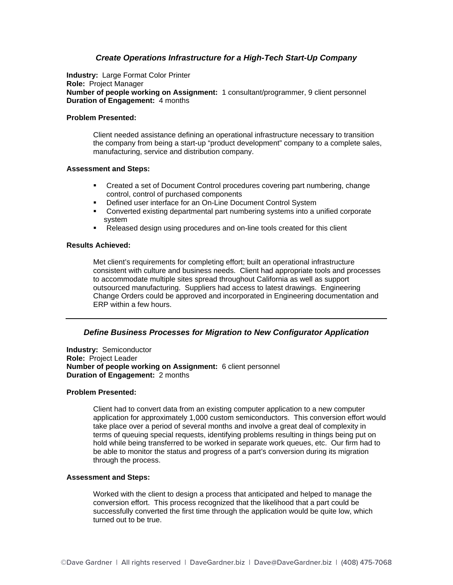# *Create Operations Infrastructure for a High-Tech Start-Up Company*

**Industry:** Large Format Color Printer **Role:** Project Manager **Number of people working on Assignment:** 1 consultant/programmer, 9 client personnel **Duration of Engagement:** 4 months

## **Problem Presented:**

Client needed assistance defining an operational infrastructure necessary to transition the company from being a start-up "product development" company to a complete sales, manufacturing, service and distribution company.

### **Assessment and Steps:**

- Created a set of Document Control procedures covering part numbering, change control, control of purchased components
- **-** Defined user interface for an On-Line Document Control System
- Converted existing departmental part numbering systems into a unified corporate system
- Released design using procedures and on-line tools created for this client

### **Results Achieved:**

Met client's requirements for completing effort; built an operational infrastructure consistent with culture and business needs. Client had appropriate tools and processes to accommodate multiple sites spread throughout California as well as support outsourced manufacturing. Suppliers had access to latest drawings. Engineering Change Orders could be approved and incorporated in Engineering documentation and ERP within a few hours.

## *Define Business Processes for Migration to New Configurator Application*

**Industry:** Semiconductor **Role:** Project Leader **Number of people working on Assignment:** 6 client personnel **Duration of Engagement:** 2 months

### **Problem Presented:**

Client had to convert data from an existing computer application to a new computer application for approximately 1,000 custom semiconductors. This conversion effort would take place over a period of several months and involve a great deal of complexity in terms of queuing special requests, identifying problems resulting in things being put on hold while being transferred to be worked in separate work queues, etc. Our firm had to be able to monitor the status and progress of a part's conversion during its migration through the process.

### **Assessment and Steps:**

Worked with the client to design a process that anticipated and helped to manage the conversion effort. This process recognized that the likelihood that a part could be successfully converted the first time through the application would be quite low, which turned out to be true.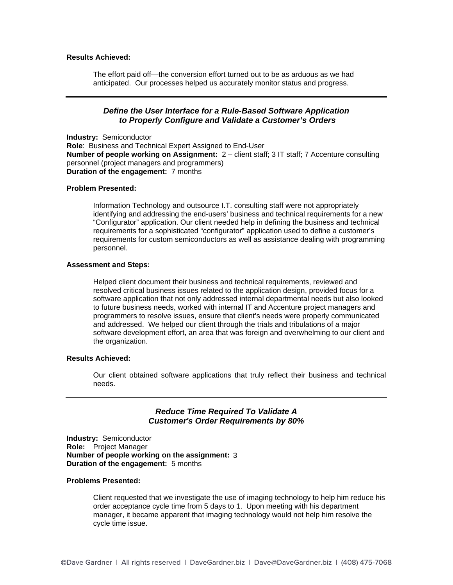### **Results Achieved:**

The effort paid off—the conversion effort turned out to be as arduous as we had anticipated. Our processes helped us accurately monitor status and progress.

# *Define the User Interface for a Rule-Based Software Application to Properly Configure and Validate a Customer's Orders*

**Industry:**Semiconductor **Role**:Business and Technical Expert Assigned to End-User **Number of people working on Assignment:**  $2 -$  client staff; 3 IT staff; 7 Accenture consulting personnel (project managers and programmers) **Duration of the engagement:** 7 months

### **Problem Presented:**

Information Technology and outsource I.T. consulting staff were not appropriately identifying and addressing the end-users' business and technical requirements for a new "Configurator" application. Our client needed help in defining the business and technical requirements for a sophisticated "configurator" application used to define a customer's requirements for custom semiconductors as well as assistance dealing with programming personnel.

#### **Assessment and Steps:**

Helped client document their business and technical requirements, reviewed and resolved critical business issues related to the application design, provided focus for a software application that not only addressed internal departmental needs but also looked to future business needs, worked with internal IT and Accenture project managers and programmers to resolve issues, ensure that client's needs were properly communicated and addressed. We helped our client through the trials and tribulations of a major software development effort, an area that was foreign and overwhelming to our client and the organization.

## **Results Achieved:**

Our client obtained software applications that truly reflect their business and technical needs.

# *Reduce Time Required To Validate A Customer's Order Requirements by 80%*

**Industry:** Semiconductor **Role:** Project Manager **Number of people working on the assignment:** 3 **Duration of the engagement:** 5 months

### **Problems Presented:**

Client requested that we investigate the use of imaging technology to help him reduce his order acceptance cycle time from 5 days to 1. Upon meeting with his department manager, it became apparent that imaging technology would not help him resolve the cycle time issue.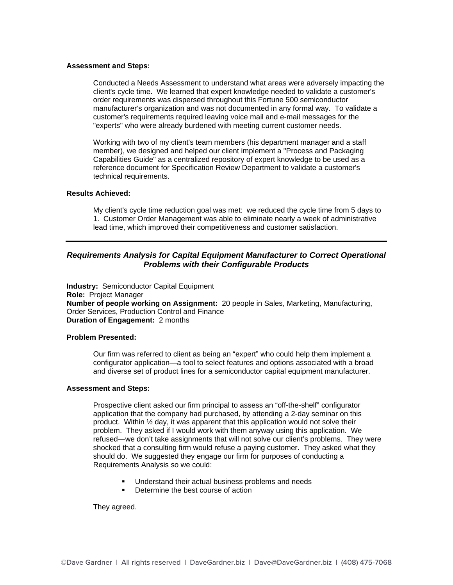## **Assessment and Steps:**

Conducted a Needs Assessment to understand what areas were adversely impacting the client's cycle time. We learned that expert knowledge needed to validate a customer's order requirements was dispersed throughout this Fortune 500 semiconductor manufacturer's organization and was not documented in any formal way. To validate a customer's requirements required leaving voice mail and e-mail messages for the "experts" who were already burdened with meeting current customer needs.

Working with two of my client's team members (his department manager and a staff member), we designed and helped our client implement a "Process and Packaging Capabilities Guide" as a centralized repository of expert knowledge to be used as a reference document for Specification Review Department to validate a customer's technical requirements.

### **Results Achieved:**

My client's cycle time reduction goal was met: we reduced the cycle time from 5 days to 1. Customer Order Management was able to eliminate nearly a week of administrative lead time, which improved their competitiveness and customer satisfaction.

# *Requirements Analysis for Capital Equipment Manufacturer to Correct Operational Problems with their Configurable Products*

**Industry:** Semiconductor Capital Equipment **Role:** Project Manager **Number of people working on Assignment:** 20 people in Sales, Marketing, Manufacturing, Order Services, Production Control and Finance **Duration of Engagement:** 2 months

### **Problem Presented:**

Our firm was referred to client as being an "expert" who could help them implement a configurator application—a tool to select features and options associated with a broad and diverse set of product lines for a semiconductor capital equipment manufacturer.

### **Assessment and Steps:**

Prospective client asked our firm principal to assess an "off-the-shelf" configurator application that the company had purchased, by attending a 2-day seminar on this product. Within ½ day, it was apparent that this application would not solve their problem. They asked if I would work with them anyway using this application. We refused—we don't take assignments that will not solve our client's problems. They were shocked that a consulting firm would refuse a paying customer. They asked what they should do. We suggested they engage our firm for purposes of conducting a Requirements Analysis so we could:

- Understand their actual business problems and needs
- Determine the best course of action

They agreed.